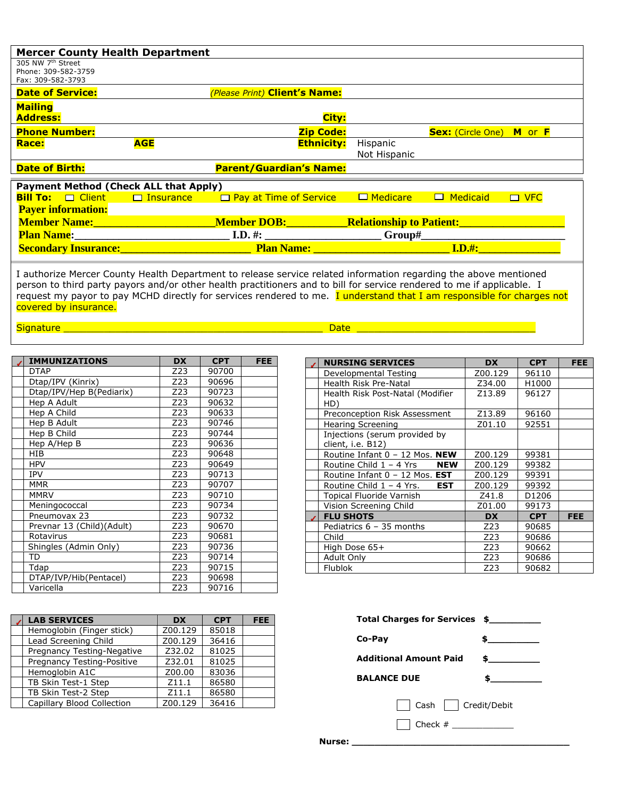| <b>Mercer County Health Department</b>                                                                                                                                                                                              |            |                                                                                                                                                                                                                                    |                          |                                               |            |
|-------------------------------------------------------------------------------------------------------------------------------------------------------------------------------------------------------------------------------------|------------|------------------------------------------------------------------------------------------------------------------------------------------------------------------------------------------------------------------------------------|--------------------------|-----------------------------------------------|------------|
| 305 NW 7 <sup>th</sup> Street<br>Phone: 309-582-3759<br>Fax: 309-582-3793                                                                                                                                                           |            |                                                                                                                                                                                                                                    |                          |                                               |            |
| <b>Date of Service:</b>                                                                                                                                                                                                             |            | (Please Print) Client's Name:                                                                                                                                                                                                      |                          |                                               |            |
| <b>Mailing</b><br><b>Address:</b>                                                                                                                                                                                                   |            | City:                                                                                                                                                                                                                              |                          |                                               |            |
| <b>Phone Number:</b>                                                                                                                                                                                                                |            | <b>Zip Code:</b>                                                                                                                                                                                                                   |                          | <b>Sex:</b> (Circle One) <b>M</b> or <b>F</b> |            |
| <b>Race:</b>                                                                                                                                                                                                                        | <b>AGE</b> | <b>Ethnicity:</b>                                                                                                                                                                                                                  | Hispanic<br>Not Hispanic |                                               |            |
| <b>Date of Birth:</b>                                                                                                                                                                                                               |            | <b>Parent/Guardian's Name:</b>                                                                                                                                                                                                     |                          |                                               |            |
| <b>Payment Method (Check ALL that Apply)</b>                                                                                                                                                                                        |            |                                                                                                                                                                                                                                    |                          |                                               |            |
| <b>Bill To:</b> $\Box$ Client $\Box$ Insurance                                                                                                                                                                                      |            | $\Box$ Pay at Time of Service                                                                                                                                                                                                      | □ Medicare               | $\Box$ Medicaid                               | $\Box$ VFC |
| <b>Payer information:</b>                                                                                                                                                                                                           |            |                                                                                                                                                                                                                                    |                          |                                               |            |
| <b>Member Name:</b> Annual Member of the Second Second Second Second Second Second Second Second Second Second Second Second Second Second Second Second Second Second Second Second Second Second Second Second Second Second Seco |            | <u>_Member DOB:______________Relationship to Patient:__________________</u>                                                                                                                                                        |                          |                                               |            |
| <b>Plan Name:</b> The contract of the contract of the contract of the contract of the contract of the contract of the contract of the contract of the contract of the contract of the contract of the contract of the contract of t |            |                                                                                                                                                                                                                                    |                          |                                               |            |
|                                                                                                                                                                                                                                     |            | <b>Example 20 Secondary Insurance:</b> The Contract of the Contract of The Plan Name: The Contract of The Contract of The Contract of The Contract of The Contract of The Contract of The Contract of The Contract of The Contract |                          |                                               |            |
|                                                                                                                                                                                                                                     |            |                                                                                                                                                                                                                                    |                          |                                               |            |

I authorize Mercer County Health Department to release service related information regarding the above mentioned person to third party payors and/or other health practitioners and to bill for service rendered to me if applicable. I request my payor to pay MCHD directly for services rendered to me. I understand that I am responsible for charges not covered by insurance.

Signature \_\_\_\_\_\_\_\_\_\_\_\_\_\_\_\_\_\_\_\_\_\_\_\_\_\_\_\_\_\_\_\_\_\_\_\_\_\_\_\_\_\_\_\_\_ Date \_\_\_\_\_\_\_\_\_\_\_\_\_\_\_\_\_\_\_\_\_\_\_\_\_\_\_\_\_\_\_

| <b>IMMUNIZATIONS</b>      | <b>DX</b> | <b>CPT</b> | <b>FEE</b> |
|---------------------------|-----------|------------|------------|
| DTAP                      | Z23       | 90700      |            |
| Dtap/IPV (Kinrix)         | Z23       | 90696      |            |
| Dtap/IPV/Hep B(Pediarix)  | Z23       | 90723      |            |
| Hep A Adult               | Z23       | 90632      |            |
| Hep A Child               | Z23       | 90633      |            |
| Hep B Adult               | Z23       | 90746      |            |
| Hep B Child               | Z23       | 90744      |            |
| Hep A/Hep B               | Z23       | 90636      |            |
| HIB                       | Z23       | 90648      |            |
| <b>HPV</b>                | Z23       | 90649      |            |
| <b>IPV</b>                | Z23       | 90713      |            |
| <b>MMR</b>                | Z23       | 90707      |            |
| <b>MMRV</b>               | Z23       | 90710      |            |
| Meningococcal             | Z23       | 90734      |            |
| Pneumovax 23              | Z23       | 90732      |            |
| Prevnar 13 (Child)(Adult) | Z23       | 90670      |            |
| Rotavirus                 | Z23       | 90681      |            |
| Shingles (Admin Only)     | Z23       | 90736      |            |
| TD                        | Z23       | 90714      |            |
| Tdap                      | Z23       | 90715      |            |
| DTAP/IVP/Hib(Pentacel)    | Z23       | 90698      |            |
| Varicella                 | Z23       | 90716      |            |

| <b>LAB SERVICES</b>        | <b>DX</b> | <b>CPT</b> | FEE. | Total Charges for Services \$ |              |
|----------------------------|-----------|------------|------|-------------------------------|--------------|
| Hemoglobin (Finger stick)  | Z00.129   | 85018      |      |                               |              |
| Lead Screening Child       | Z00.129   | 36416      |      | Co-Pav                        |              |
| Pregnancy Testing-Negative | Z32.02    | 81025      |      |                               |              |
| Pregnancy Testing-Positive | Z32.01    | 81025      |      | <b>Additional Amount Paid</b> |              |
| Hemoglobin A1C             | Z00.00    | 83036      |      |                               |              |
| TB Skin Test-1 Step        | Z11.1     | 86580      |      | <b>BALANCE DUE</b>            |              |
| TB Skin Test-2 Step        | Z11.1     | 86580      |      |                               |              |
| Capillary Blood Collection | Z00.129   | 36416      |      | Cash                          | Credit/Debit |

| <b>NURSING SERVICES</b>                            | <b>DX</b> | <b>CPT</b> | <b>FEE</b> |
|----------------------------------------------------|-----------|------------|------------|
| Developmental Testing                              | Z00.129   | 96110      |            |
| Health Risk Pre-Natal                              | Z34.00    | H1000      |            |
| Health Risk Post-Natal (Modifier<br>HD)            | Z13.89    | 96127      |            |
| Preconception Risk Assessment                      | Z13.89    | 96160      |            |
| <b>Hearing Screening</b>                           | Z01.10    | 92551      |            |
| Injections (serum provided by<br>client, i.e. B12) |           |            |            |
| Routine Infant 0 - 12 Mos. NEW                     | Z00.129   | 99381      |            |
| Routine Child 1 – 4 Yrs<br><b>NEW</b>              | Z00.129   | 99382      |            |
| Routine Infant 0 - 12 Mos. EST                     | Z00.129   | 99391      |            |
| Routine Child 1 - 4 Yrs.<br><b>EST</b>             | Z00.129   | 99392      |            |
| <b>Topical Fluoride Varnish</b>                    | Z41.8     | D1206      |            |
| Vision Screening Child                             | Z01.00    | 99173      |            |
| <b>FLU SHOTS</b>                                   | <b>DX</b> | <b>CPT</b> | <b>FEE</b> |
| Pediatrics $6 - 35$ months                         | Z23       | 90685      |            |
| Child                                              | Z23       | 90686      |            |
| High Dose 65+                                      | Z23       | 90662      |            |
| Adult Only                                         | Z23       | 90686      |            |
| <b>Flublok</b>                                     | Z23       | 90682      |            |
|                                                    |           |            |            |

| Total Charges for Services \$ |     |
|-------------------------------|-----|
| Co-Pay                        | \$  |
| <b>Additional Amount Paid</b> | \$. |
| <b>BALANCE DUE</b>            |     |
| Cash   Credit/Debit           |     |

**Nurse: \_\_\_\_\_\_\_\_\_\_\_\_\_\_\_\_\_\_\_\_\_\_\_\_\_\_\_\_\_\_\_\_\_\_\_\_\_\_**